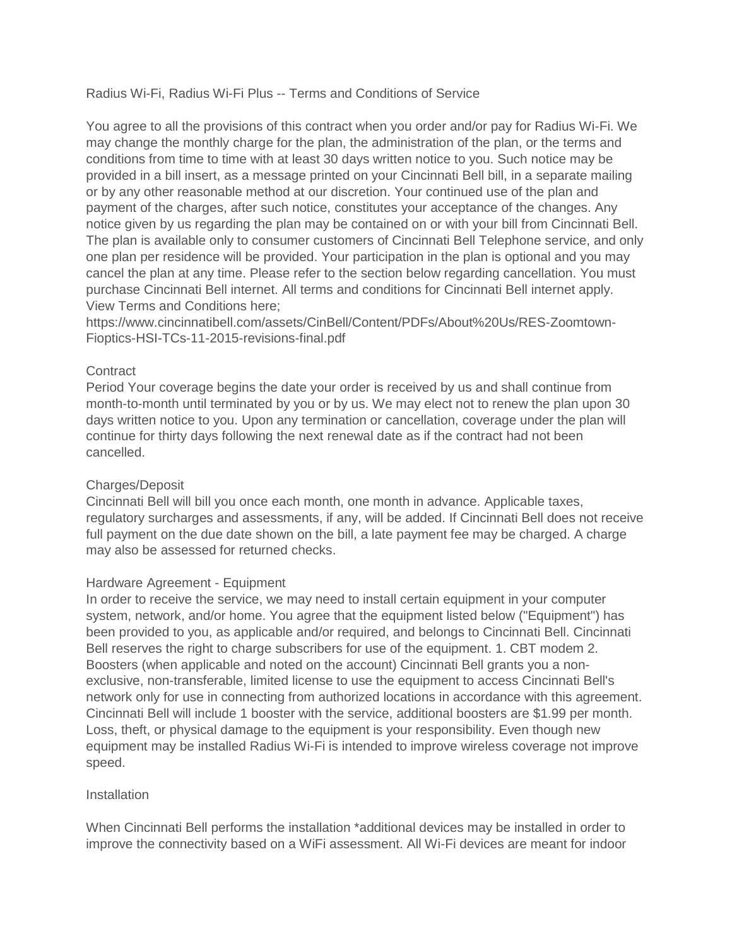Radius Wi-Fi, Radius Wi-Fi Plus -- Terms and Conditions of Service

You agree to all the provisions of this contract when you order and/or pay for Radius Wi-Fi. We may change the monthly charge for the plan, the administration of the plan, or the terms and conditions from time to time with at least 30 days written notice to you. Such notice may be provided in a bill insert, as a message printed on your Cincinnati Bell bill, in a separate mailing or by any other reasonable method at our discretion. Your continued use of the plan and payment of the charges, after such notice, constitutes your acceptance of the changes. Any notice given by us regarding the plan may be contained on or with your bill from Cincinnati Bell. The plan is available only to consumer customers of Cincinnati Bell Telephone service, and only one plan per residence will be provided. Your participation in the plan is optional and you may cancel the plan at any time. Please refer to the section below regarding cancellation. You must purchase Cincinnati Bell internet. All terms and conditions for Cincinnati Bell internet apply. View Terms and Conditions here;

https://www.cincinnatibell.com/assets/CinBell/Content/PDFs/About%20Us/RES-Zoomtown-Fioptics-HSI-TCs-11-2015-revisions-final.pdf

# **Contract**

Period Your coverage begins the date your order is received by us and shall continue from month-to-month until terminated by you or by us. We may elect not to renew the plan upon 30 days written notice to you. Upon any termination or cancellation, coverage under the plan will continue for thirty days following the next renewal date as if the contract had not been cancelled.

## Charges/Deposit

Cincinnati Bell will bill you once each month, one month in advance. Applicable taxes, regulatory surcharges and assessments, if any, will be added. If Cincinnati Bell does not receive full payment on the due date shown on the bill, a late payment fee may be charged. A charge may also be assessed for returned checks.

## Hardware Agreement - Equipment

In order to receive the service, we may need to install certain equipment in your computer system, network, and/or home. You agree that the equipment listed below ("Equipment") has been provided to you, as applicable and/or required, and belongs to Cincinnati Bell. Cincinnati Bell reserves the right to charge subscribers for use of the equipment. 1. CBT modem 2. Boosters (when applicable and noted on the account) Cincinnati Bell grants you a nonexclusive, non-transferable, limited license to use the equipment to access Cincinnati Bell's network only for use in connecting from authorized locations in accordance with this agreement. Cincinnati Bell will include 1 booster with the service, additional boosters are \$1.99 per month. Loss, theft, or physical damage to the equipment is your responsibility. Even though new equipment may be installed Radius Wi-Fi is intended to improve wireless coverage not improve speed.

## **Installation**

When Cincinnati Bell performs the installation \*additional devices may be installed in order to improve the connectivity based on a WiFi assessment. All Wi-Fi devices are meant for indoor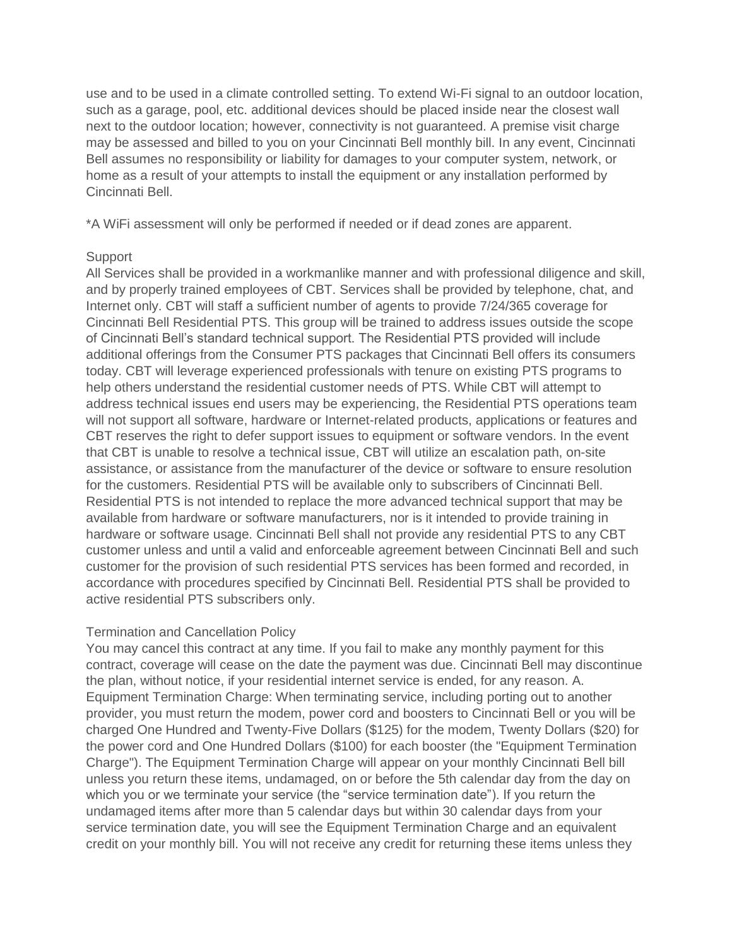use and to be used in a climate controlled setting. To extend Wi-Fi signal to an outdoor location, such as a garage, pool, etc. additional devices should be placed inside near the closest wall next to the outdoor location; however, connectivity is not guaranteed. A premise visit charge may be assessed and billed to you on your Cincinnati Bell monthly bill. In any event, Cincinnati Bell assumes no responsibility or liability for damages to your computer system, network, or home as a result of your attempts to install the equipment or any installation performed by Cincinnati Bell.

\*A WiFi assessment will only be performed if needed or if dead zones are apparent.

### Support

All Services shall be provided in a workmanlike manner and with professional diligence and skill, and by properly trained employees of CBT. Services shall be provided by telephone, chat, and Internet only. CBT will staff a sufficient number of agents to provide 7/24/365 coverage for Cincinnati Bell Residential PTS. This group will be trained to address issues outside the scope of Cincinnati Bell's standard technical support. The Residential PTS provided will include additional offerings from the Consumer PTS packages that Cincinnati Bell offers its consumers today. CBT will leverage experienced professionals with tenure on existing PTS programs to help others understand the residential customer needs of PTS. While CBT will attempt to address technical issues end users may be experiencing, the Residential PTS operations team will not support all software, hardware or Internet-related products, applications or features and CBT reserves the right to defer support issues to equipment or software vendors. In the event that CBT is unable to resolve a technical issue, CBT will utilize an escalation path, on-site assistance, or assistance from the manufacturer of the device or software to ensure resolution for the customers. Residential PTS will be available only to subscribers of Cincinnati Bell. Residential PTS is not intended to replace the more advanced technical support that may be available from hardware or software manufacturers, nor is it intended to provide training in hardware or software usage. Cincinnati Bell shall not provide any residential PTS to any CBT customer unless and until a valid and enforceable agreement between Cincinnati Bell and such customer for the provision of such residential PTS services has been formed and recorded, in accordance with procedures specified by Cincinnati Bell. Residential PTS shall be provided to active residential PTS subscribers only.

## Termination and Cancellation Policy

You may cancel this contract at any time. If you fail to make any monthly payment for this contract, coverage will cease on the date the payment was due. Cincinnati Bell may discontinue the plan, without notice, if your residential internet service is ended, for any reason. A. Equipment Termination Charge: When terminating service, including porting out to another provider, you must return the modem, power cord and boosters to Cincinnati Bell or you will be charged One Hundred and Twenty-Five Dollars (\$125) for the modem, Twenty Dollars (\$20) for the power cord and One Hundred Dollars (\$100) for each booster (the "Equipment Termination Charge"). The Equipment Termination Charge will appear on your monthly Cincinnati Bell bill unless you return these items, undamaged, on or before the 5th calendar day from the day on which you or we terminate your service (the "service termination date"). If you return the undamaged items after more than 5 calendar days but within 30 calendar days from your service termination date, you will see the Equipment Termination Charge and an equivalent credit on your monthly bill. You will not receive any credit for returning these items unless they